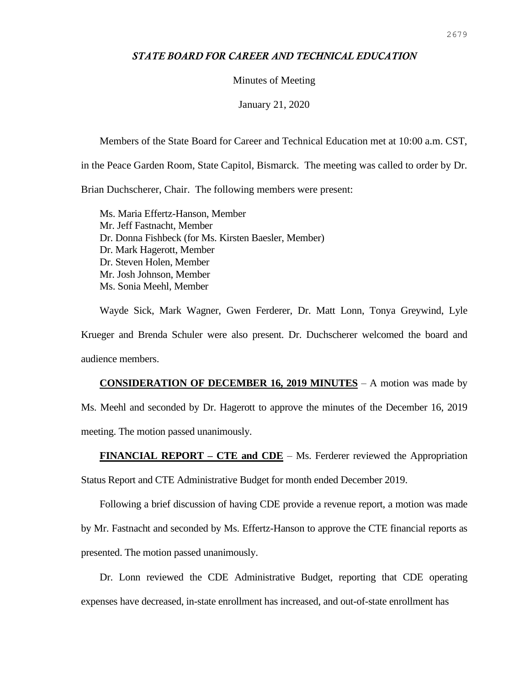## *STATE BOARD FOR CAREER AND TECHNICAL EDUCATION*

## Minutes of Meeting

January 21, 2020

Members of the State Board for Career and Technical Education met at 10:00 a.m. CST,

in the Peace Garden Room, State Capitol, Bismarck. The meeting was called to order by Dr.

Brian Duchscherer, Chair. The following members were present:

Ms. Maria Effertz-Hanson, Member Mr. Jeff Fastnacht, Member Dr. Donna Fishbeck (for Ms. Kirsten Baesler, Member) Dr. Mark Hagerott, Member Dr. Steven Holen, Member Mr. Josh Johnson, Member Ms. Sonia Meehl, Member

Wayde Sick, Mark Wagner, Gwen Ferderer, Dr. Matt Lonn, Tonya Greywind, Lyle Krueger and Brenda Schuler were also present. Dr. Duchscherer welcomed the board and audience members.

**CONSIDERATION OF DECEMBER 16, 2019 MINUTES** – A motion was made by Ms. Meehl and seconded by Dr. Hagerott to approve the minutes of the December 16, 2019 meeting. The motion passed unanimously.

**FINANCIAL REPORT – CTE and CDE** – Ms. Ferderer reviewed the Appropriation

Status Report and CTE Administrative Budget for month ended December 2019.

Following a brief discussion of having CDE provide a revenue report, a motion was made

by Mr. Fastnacht and seconded by Ms. Effertz-Hanson to approve the CTE financial reports as presented. The motion passed unanimously.

Dr. Lonn reviewed the CDE Administrative Budget, reporting that CDE operating expenses have decreased, in-state enrollment has increased, and out-of-state enrollment has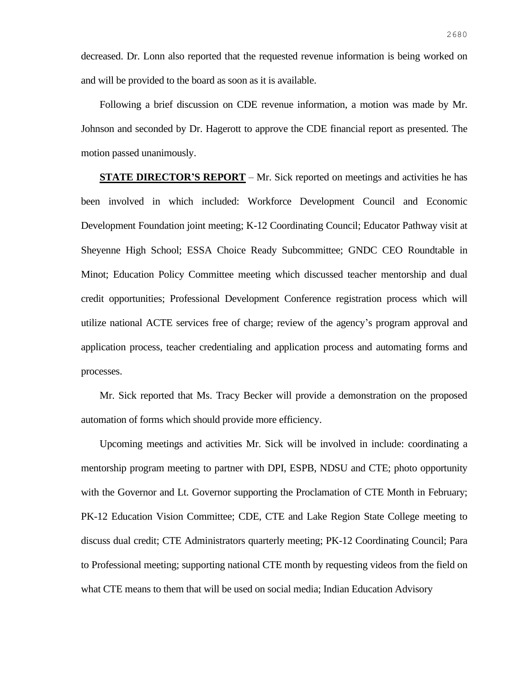decreased. Dr. Lonn also reported that the requested revenue information is being worked on and will be provided to the board as soon as it is available.

Following a brief discussion on CDE revenue information, a motion was made by Mr. Johnson and seconded by Dr. Hagerott to approve the CDE financial report as presented. The motion passed unanimously.

**STATE DIRECTOR'S REPORT** – Mr. Sick reported on meetings and activities he has been involved in which included: Workforce Development Council and Economic Development Foundation joint meeting; K-12 Coordinating Council; Educator Pathway visit at Sheyenne High School; ESSA Choice Ready Subcommittee; GNDC CEO Roundtable in Minot; Education Policy Committee meeting which discussed teacher mentorship and dual credit opportunities; Professional Development Conference registration process which will utilize national ACTE services free of charge; review of the agency's program approval and application process, teacher credentialing and application process and automating forms and processes.

Mr. Sick reported that Ms. Tracy Becker will provide a demonstration on the proposed automation of forms which should provide more efficiency.

Upcoming meetings and activities Mr. Sick will be involved in include: coordinating a mentorship program meeting to partner with DPI, ESPB, NDSU and CTE; photo opportunity with the Governor and Lt. Governor supporting the Proclamation of CTE Month in February; PK-12 Education Vision Committee; CDE, CTE and Lake Region State College meeting to discuss dual credit; CTE Administrators quarterly meeting; PK-12 Coordinating Council; Para to Professional meeting; supporting national CTE month by requesting videos from the field on what CTE means to them that will be used on social media; Indian Education Advisory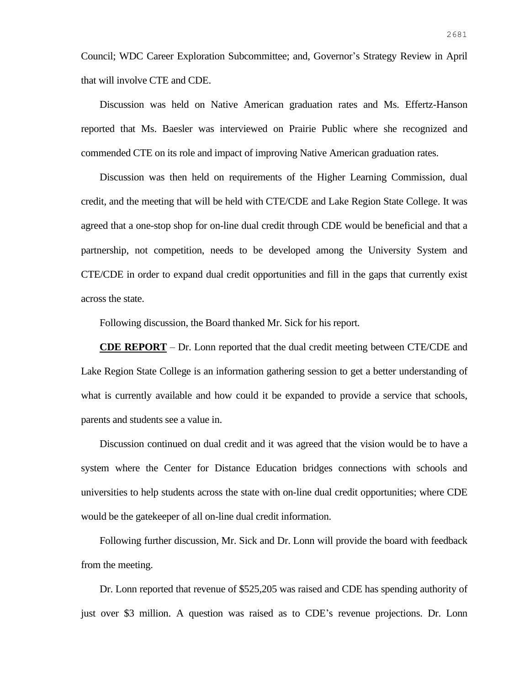Council; WDC Career Exploration Subcommittee; and, Governor's Strategy Review in April that will involve CTE and CDE.

Discussion was held on Native American graduation rates and Ms. Effertz-Hanson reported that Ms. Baesler was interviewed on Prairie Public where she recognized and commended CTE on its role and impact of improving Native American graduation rates.

Discussion was then held on requirements of the Higher Learning Commission, dual credit, and the meeting that will be held with CTE/CDE and Lake Region State College. It was agreed that a one-stop shop for on-line dual credit through CDE would be beneficial and that a partnership, not competition, needs to be developed among the University System and CTE/CDE in order to expand dual credit opportunities and fill in the gaps that currently exist across the state.

Following discussion, the Board thanked Mr. Sick for his report.

**CDE REPORT** – Dr. Lonn reported that the dual credit meeting between CTE/CDE and Lake Region State College is an information gathering session to get a better understanding of what is currently available and how could it be expanded to provide a service that schools, parents and students see a value in.

Discussion continued on dual credit and it was agreed that the vision would be to have a system where the Center for Distance Education bridges connections with schools and universities to help students across the state with on-line dual credit opportunities; where CDE would be the gatekeeper of all on-line dual credit information.

Following further discussion, Mr. Sick and Dr. Lonn will provide the board with feedback from the meeting.

Dr. Lonn reported that revenue of \$525,205 was raised and CDE has spending authority of just over \$3 million. A question was raised as to CDE's revenue projections. Dr. Lonn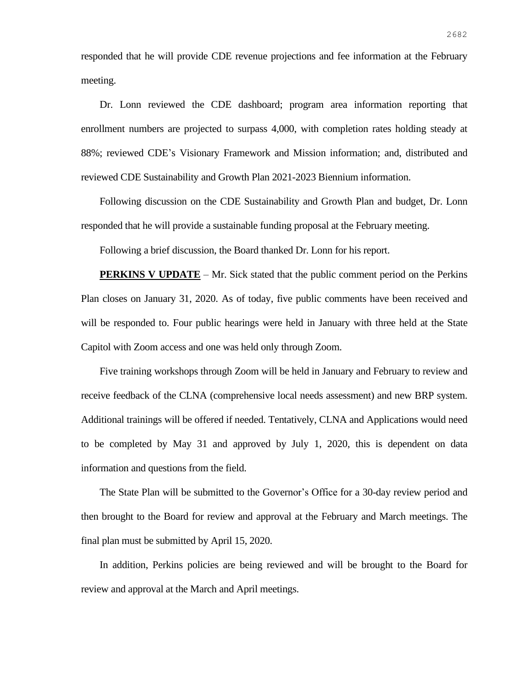responded that he will provide CDE revenue projections and fee information at the February meeting.

Dr. Lonn reviewed the CDE dashboard; program area information reporting that enrollment numbers are projected to surpass 4,000, with completion rates holding steady at 88%; reviewed CDE's Visionary Framework and Mission information; and, distributed and reviewed CDE Sustainability and Growth Plan 2021-2023 Biennium information.

Following discussion on the CDE Sustainability and Growth Plan and budget, Dr. Lonn responded that he will provide a sustainable funding proposal at the February meeting.

Following a brief discussion, the Board thanked Dr. Lonn for his report.

**PERKINS V UPDATE** – Mr. Sick stated that the public comment period on the Perkins Plan closes on January 31, 2020. As of today, five public comments have been received and will be responded to. Four public hearings were held in January with three held at the State Capitol with Zoom access and one was held only through Zoom.

Five training workshops through Zoom will be held in January and February to review and receive feedback of the CLNA (comprehensive local needs assessment) and new BRP system. Additional trainings will be offered if needed. Tentatively, CLNA and Applications would need to be completed by May 31 and approved by July 1, 2020, this is dependent on data information and questions from the field.

The State Plan will be submitted to the Governor's Office for a 30-day review period and then brought to the Board for review and approval at the February and March meetings. The final plan must be submitted by April 15, 2020.

In addition, Perkins policies are being reviewed and will be brought to the Board for review and approval at the March and April meetings.